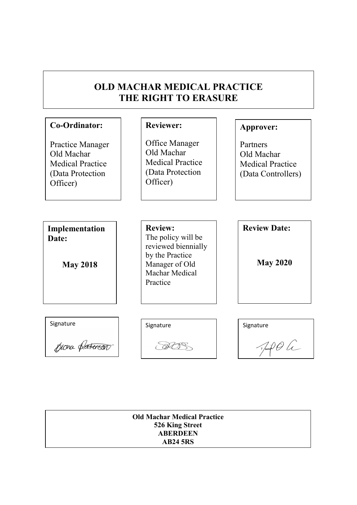| Co-Ordinator:                                                                                    | <b>Reviewer:</b>                                                                        | Approver:                                                               |
|--------------------------------------------------------------------------------------------------|-----------------------------------------------------------------------------------------|-------------------------------------------------------------------------|
| <b>Practice Manager</b><br>Old Machar<br><b>Medical Practice</b><br>(Data Protection<br>Officer) | Office Manager<br>Old Machar<br><b>Medical Practice</b><br>(Data Protection<br>Officer) | Partners<br>Old Machar<br><b>Medical Practice</b><br>(Data Controllers) |
| Implementation<br>Date:                                                                          | <b>Review:</b><br>The policy will be                                                    | <b>Review Date:</b>                                                     |
| <b>May 2018</b>                                                                                  | reviewed biennially<br>by the Practice<br>Manager of Old<br>Machar Medical<br>Practice  | <b>May 2020</b>                                                         |
|                                                                                                  |                                                                                         |                                                                         |
| Signature                                                                                        | Signature                                                                               | Signature                                                               |
| Knona de                                                                                         |                                                                                         | $\sqrt{d}$                                                              |

piona pa<del>terson</del>

Juil Oli

Old Machar Medical Practice 526 King Street **ABERDEEN** AB24 5RS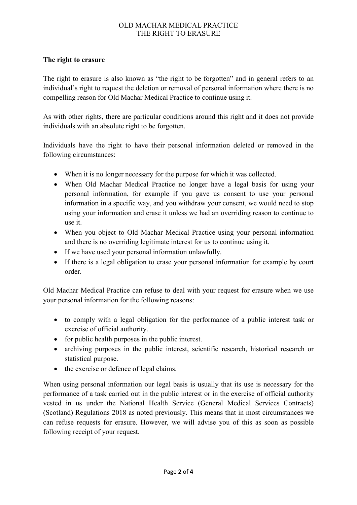# The right to erasure

The right to erasure is also known as "the right to be forgotten" and in general refers to an individual's right to request the deletion or removal of personal information where there is no compelling reason for Old Machar Medical Practice to continue using it.

As with other rights, there are particular conditions around this right and it does not provide individuals with an absolute right to be forgotten.

Individuals have the right to have their personal information deleted or removed in the following circumstances:

- When it is no longer necessary for the purpose for which it was collected.
- When Old Machar Medical Practice no longer have a legal basis for using your personal information, for example if you gave us consent to use your personal information in a specific way, and you withdraw your consent, we would need to stop using your information and erase it unless we had an overriding reason to continue to use it.
- When you object to Old Machar Medical Practice using your personal information and there is no overriding legitimate interest for us to continue using it.
- If we have used your personal information unlawfully.
- If there is a legal obligation to erase your personal information for example by court order.

Old Machar Medical Practice can refuse to deal with your request for erasure when we use your personal information for the following reasons:

- to comply with a legal obligation for the performance of a public interest task or exercise of official authority.
- for public health purposes in the public interest.
- archiving purposes in the public interest, scientific research, historical research or statistical purpose.
- the exercise or defence of legal claims.

When using personal information our legal basis is usually that its use is necessary for the performance of a task carried out in the public interest or in the exercise of official authority vested in us under the National Health Service (General Medical Services Contracts) (Scotland) Regulations 2018 as noted previously. This means that in most circumstances we can refuse requests for erasure. However, we will advise you of this as soon as possible following receipt of your request.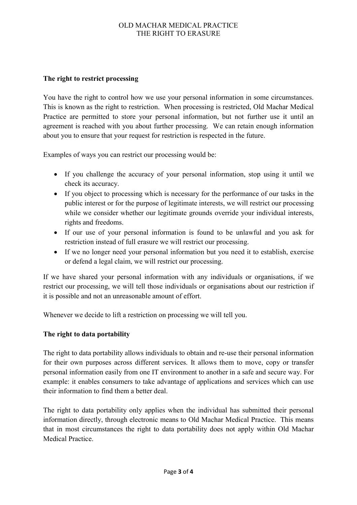## The right to restrict processing

You have the right to control how we use your personal information in some circumstances. This is known as the right to restriction. When processing is restricted, Old Machar Medical Practice are permitted to store your personal information, but not further use it until an agreement is reached with you about further processing. We can retain enough information about you to ensure that your request for restriction is respected in the future.

Examples of ways you can restrict our processing would be:

- If you challenge the accuracy of your personal information, stop using it until we check its accuracy.
- If you object to processing which is necessary for the performance of our tasks in the public interest or for the purpose of legitimate interests, we will restrict our processing while we consider whether our legitimate grounds override your individual interests, rights and freedoms.
- If our use of your personal information is found to be unlawful and you ask for restriction instead of full erasure we will restrict our processing.
- If we no longer need your personal information but you need it to establish, exercise or defend a legal claim, we will restrict our processing.

If we have shared your personal information with any individuals or organisations, if we restrict our processing, we will tell those individuals or organisations about our restriction if it is possible and not an unreasonable amount of effort.

Whenever we decide to lift a restriction on processing we will tell you.

# The right to data portability

The right to data portability allows individuals to obtain and re-use their personal information for their own purposes across different services. It allows them to move, copy or transfer personal information easily from one IT environment to another in a safe and secure way. For example: it enables consumers to take advantage of applications and services which can use their information to find them a better deal.

The right to data portability only applies when the individual has submitted their personal information directly, through electronic means to Old Machar Medical Practice. This means that in most circumstances the right to data portability does not apply within Old Machar Medical Practice.